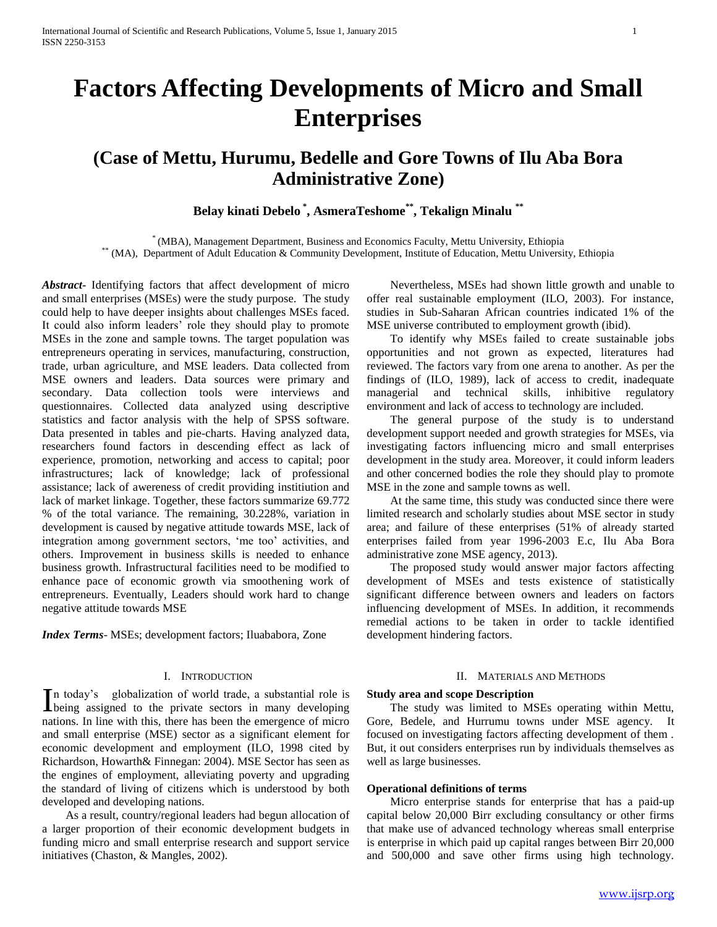# **Factors Affecting Developments of Micro and Small Enterprises**

# **(Case of Mettu, Hurumu, Bedelle and Gore Towns of Ilu Aba Bora Administrative Zone)**

# **Belay kinati Debelo \* , AsmeraTeshome\*\* , Tekalign Minalu \*\***

\* (MBA), Management Department, Business and Economics Faculty, Mettu University, Ethiopia \*\* (MA), Department of Adult Education & Community Development, Institute of Education, Mettu University, Ethiopia

*Abstract***-** Identifying factors that affect development of micro and small enterprises (MSEs) were the study purpose. The study could help to have deeper insights about challenges MSEs faced. It could also inform leaders' role they should play to promote MSEs in the zone and sample towns. The target population was entrepreneurs operating in services, manufacturing, construction, trade, urban agriculture, and MSE leaders. Data collected from MSE owners and leaders. Data sources were primary and secondary. Data collection tools were interviews and questionnaires. Collected data analyzed using descriptive statistics and factor analysis with the help of SPSS software. Data presented in tables and pie-charts. Having analyzed data, researchers found factors in descending effect as lack of experience, promotion, networking and access to capital; poor infrastructures; lack of knowledge; lack of professional assistance; lack of awereness of credit providing institiution and lack of market linkage. Together, these factors summarize 69.772 % of the total variance. The remaining, 30.228%, variation in development is caused by negative attitude towards MSE, lack of integration among government sectors, 'me too' activities, and others. Improvement in business skills is needed to enhance business growth. Infrastructural facilities need to be modified to enhance pace of economic growth via smoothening work of entrepreneurs. Eventually, Leaders should work hard to change negative attitude towards MSE

*Index Terms*- MSEs; development factors; Iluababora, Zone

#### I. INTRODUCTION

n today's globalization of world trade, a substantial role is In today's globalization of world trade, a substantial role is being assigned to the private sectors in many developing nations. In line with this, there has been the emergence of micro and small enterprise (MSE) sector as a significant element for economic development and employment (ILO, 1998 cited by Richardson, Howarth& Finnegan: 2004). MSE Sector has seen as the engines of employment, alleviating poverty and upgrading the standard of living of citizens which is understood by both developed and developing nations.

 As a result, country/regional leaders had begun allocation of a larger proportion of their economic development budgets in funding micro and small enterprise research and support service initiatives (Chaston, & Mangles, 2002).

 Nevertheless, MSEs had shown little growth and unable to offer real sustainable employment (ILO, 2003). For instance, studies in Sub-Saharan African countries indicated 1% of the MSE universe contributed to employment growth (ibid).

 To identify why MSEs failed to create sustainable jobs opportunities and not grown as expected, literatures had reviewed. The factors vary from one arena to another. As per the findings of (ILO, 1989), lack of access to credit, inadequate managerial and technical skills, inhibitive regulatory environment and lack of access to technology are included.

 The general purpose of the study is to understand development support needed and growth strategies for MSEs, via investigating factors influencing micro and small enterprises development in the study area. Moreover, it could inform leaders and other concerned bodies the role they should play to promote MSE in the zone and sample towns as well.

 At the same time, this study was conducted since there were limited research and scholarly studies about MSE sector in study area; and failure of these enterprises (51% of already started enterprises failed from year 1996-2003 E.c, Ilu Aba Bora administrative zone MSE agency, 2013).

 The proposed study would answer major factors affecting development of MSEs and tests existence of statistically significant difference between owners and leaders on factors influencing development of MSEs. In addition, it recommends remedial actions to be taken in order to tackle identified development hindering factors.

#### II. MATERIALS AND METHODS

#### **Study area and scope Description**

 The study was limited to MSEs operating within Mettu, Gore, Bedele, and Hurrumu towns under MSE agency. It focused on investigating factors affecting development of them . But, it out considers enterprises run by individuals themselves as well as large businesses.

#### **Operational definitions of terms**

 Micro enterprise stands for enterprise that has a paid-up capital below 20,000 Birr excluding consultancy or other firms that make use of advanced technology whereas small enterprise is enterprise in which paid up capital ranges between Birr 20,000 and 500,000 and save other firms using high technology.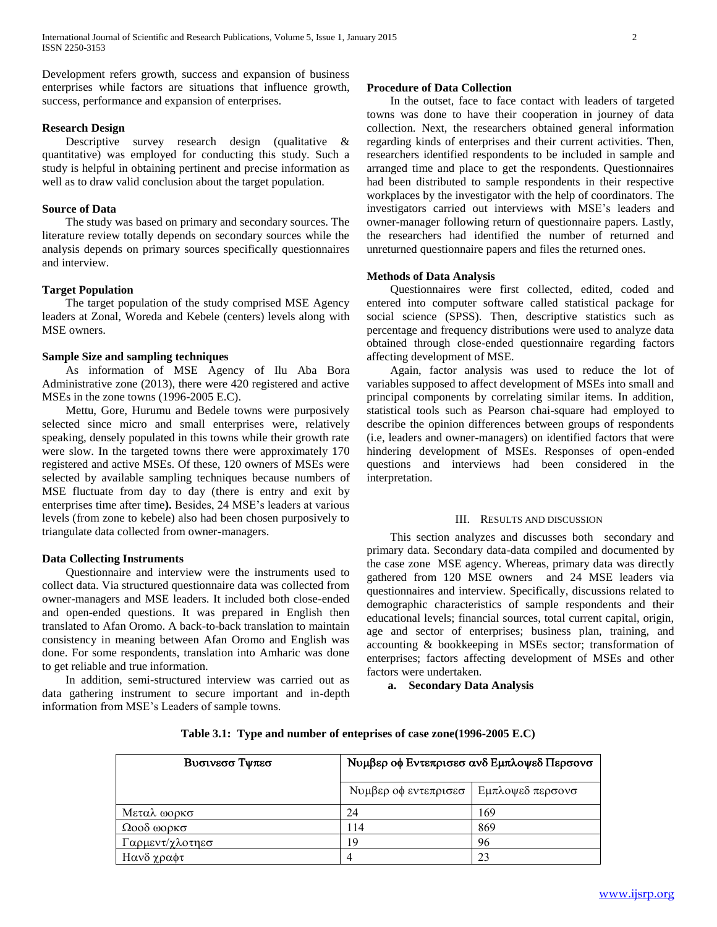Development refers growth, success and expansion of business enterprises while factors are situations that influence growth, success, performance and expansion of enterprises.

#### **Research Design**

Descriptive survey research design (qualitative & quantitative) was employed for conducting this study. Such a study is helpful in obtaining pertinent and precise information as well as to draw valid conclusion about the target population.

#### **Source of Data**

 The study was based on primary and secondary sources. The literature review totally depends on secondary sources while the analysis depends on primary sources specifically questionnaires and interview.

# **Target Population**

 The target population of the study comprised MSE Agency leaders at Zonal, Woreda and Kebele (centers) levels along with MSE owners.

#### **Sample Size and sampling techniques**

 As information of MSE Agency of Ilu Aba Bora Administrative zone (2013), there were 420 registered and active MSEs in the zone towns (1996-2005 E.C).

 Mettu, Gore, Hurumu and Bedele towns were purposively selected since micro and small enterprises were, relatively speaking, densely populated in this towns while their growth rate were slow. In the targeted towns there were approximately 170 registered and active MSEs. Of these, 120 owners of MSEs were selected by available sampling techniques because numbers of MSE fluctuate from day to day (there is entry and exit by enterprises time after time**).** Besides, 24 MSE's leaders at various levels (from zone to kebele) also had been chosen purposively to triangulate data collected from owner-managers.

#### **Data Collecting Instruments**

 Questionnaire and interview were the instruments used to collect data. Via structured questionnaire data was collected from owner-managers and MSE leaders. It included both close-ended and open-ended questions. It was prepared in English then translated to Afan Oromo. A back-to-back translation to maintain consistency in meaning between Afan Oromo and English was done. For some respondents, translation into Amharic was done to get reliable and true information.

 In addition, semi-structured interview was carried out as data gathering instrument to secure important and in-depth information from MSE's Leaders of sample towns.

#### **Procedure of Data Collection**

 In the outset, face to face contact with leaders of targeted towns was done to have their cooperation in journey of data collection. Next, the researchers obtained general information regarding kinds of enterprises and their current activities. Then, researchers identified respondents to be included in sample and arranged time and place to get the respondents. Questionnaires had been distributed to sample respondents in their respective workplaces by the investigator with the help of coordinators. The investigators carried out interviews with MSE's leaders and owner-manager following return of questionnaire papers. Lastly, the researchers had identified the number of returned and unreturned questionnaire papers and files the returned ones.

#### **Methods of Data Analysis**

 Questionnaires were first collected, edited, coded and entered into computer software called statistical package for social science (SPSS). Then, descriptive statistics such as percentage and frequency distributions were used to analyze data obtained through close-ended questionnaire regarding factors affecting development of MSE.

 Again, factor analysis was used to reduce the lot of variables supposed to affect development of MSEs into small and principal components by correlating similar items. In addition, statistical tools such as Pearson chai-square had employed to describe the opinion differences between groups of respondents (i.e, leaders and owner-managers) on identified factors that were hindering development of MSEs. Responses of open-ended questions and interviews had been considered in the interpretation.

#### III. RESULTS AND DISCUSSION

 This section analyzes and discusses both secondary and primary data. Secondary data-data compiled and documented by the case zone MSE agency. Whereas, primary data was directly gathered from 120 MSE owners and 24 MSE leaders via questionnaires and interview. Specifically, discussions related to demographic characteristics of sample respondents and their educational levels; financial sources, total current capital, origin, age and sector of enterprises; business plan, training, and accounting & bookkeeping in MSEs sector; transformation of enterprises; factors affecting development of MSEs and other factors were undertaken.

**a. Secondary Data Analysis**

| Βυσινεσσ Τψπεσ  | Νυμβερ οφ Εντεπρισεσ ανδ Εμπλοψεδ Περσονσ |                  |  |  |
|-----------------|-------------------------------------------|------------------|--|--|
|                 | Νυμβερ οφ εντεπρισεσ                      | Εμπλοψεδ περσονσ |  |  |
| Μεταλ ωορκσ     | 24                                        | 169              |  |  |
| $Ω$ οοδ ωορκσ   | 114                                       | 869              |  |  |
| Γαρμεντ/χλοτηεσ | 19                                        | 96               |  |  |
| Ηανδ χραφτ      |                                           | 23               |  |  |

**Table 3.1: Type and number of enteprises of case zone(1996-2005 E.C)**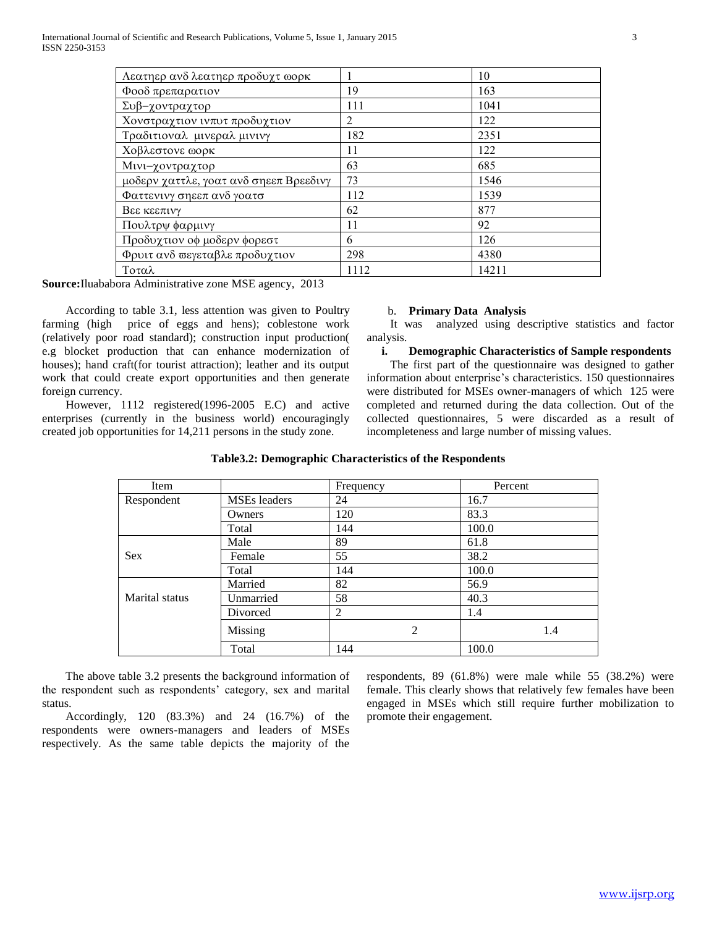| Λεατηερ ανδ λεατηερ προδυχτ ωορκ       |      | 10    |
|----------------------------------------|------|-------|
| Φοοδ πρεπαρατιον                       | 19   | 163   |
| Συβ-χοντραχτορ                         | 111  | 1041  |
| Χονστραχτιον ινπυτ προδυχτιον          | 2    | 122   |
| Τραδιτιοναλ μινεραλ μινινγ             | 182  | 2351  |
| Χοβλεστονε ωορκ                        | 11   | 122   |
| Μινι-χοντραχτορ                        | 63   | 685   |
| μοδερν χαττλε, γοατ ανδ σηεεπ Βρεεδινγ | 73   | 1546  |
| Φαττενινγ σηεεπ ανδ γοατσ              | 112  | 1539  |
| Βεε κεεπινγ                            | 62   | 877   |
| Πουλτρψ φαρμινγ                        | 11   | 92    |
| Προδυχτιον οφ μοδερν φορεστ            | 6    | 126   |
| Φρυιτ ανδ σεγεταβλε προδυχτιον         | 298  | 4380  |
| Τοταλ                                  | 1112 | 14211 |

**Source:**Iluababora Administrative zone MSE agency, 2013

 According to table 3.1, less attention was given to Poultry farming (high price of eggs and hens); coblestone work (relatively poor road standard); construction input production( e.g blocket production that can enhance modernization of houses); hand craft(for tourist attraction); leather and its output work that could create export opportunities and then generate foreign currency.

 However, 1112 registered(1996-2005 E.C) and active enterprises (currently in the business world) encouragingly created job opportunities for 14,211 persons in the study zone.

#### b. **Primary Data Analysis**

 It was analyzed using descriptive statistics and factor analysis.

#### **i. Demographic Characteristics of Sample respondents**

 The first part of the questionnaire was designed to gather information about enterprise's characteristics. 150 questionnaires were distributed for MSEs owner-managers of which 125 were completed and returned during the data collection. Out of the collected questionnaires, 5 were discarded as a result of incompleteness and large number of missing values.

| Item           |                     | Frequency      | Percent |
|----------------|---------------------|----------------|---------|
| Respondent     | <b>MSEs</b> leaders | 24             | 16.7    |
|                | Owners              | 120            | 83.3    |
|                | Total               | 144            | 100.0   |
|                | Male                | 89             | 61.8    |
| <b>Sex</b>     | Female              | 55             | 38.2    |
|                | Total               | 144            | 100.0   |
|                | Married             | 82             | 56.9    |
| Marital status | Unmarried           | 58             | 40.3    |
|                | Divorced            | $\overline{2}$ | 1.4     |
|                | Missing             | 2              | 1.4     |
|                | Total               | 144            | 100.0   |

#### **Table3.2: Demographic Characteristics of the Respondents**

 The above table 3.2 presents the background information of the respondent such as respondents' category, sex and marital status.

 Accordingly, 120 (83.3%) and 24 (16.7%) of the respondents were owners-managers and leaders of MSEs respectively. As the same table depicts the majority of the

respondents, 89 (61.8%) were male while 55 (38.2%) were female. This clearly shows that relatively few females have been engaged in MSEs which still require further mobilization to promote their engagement.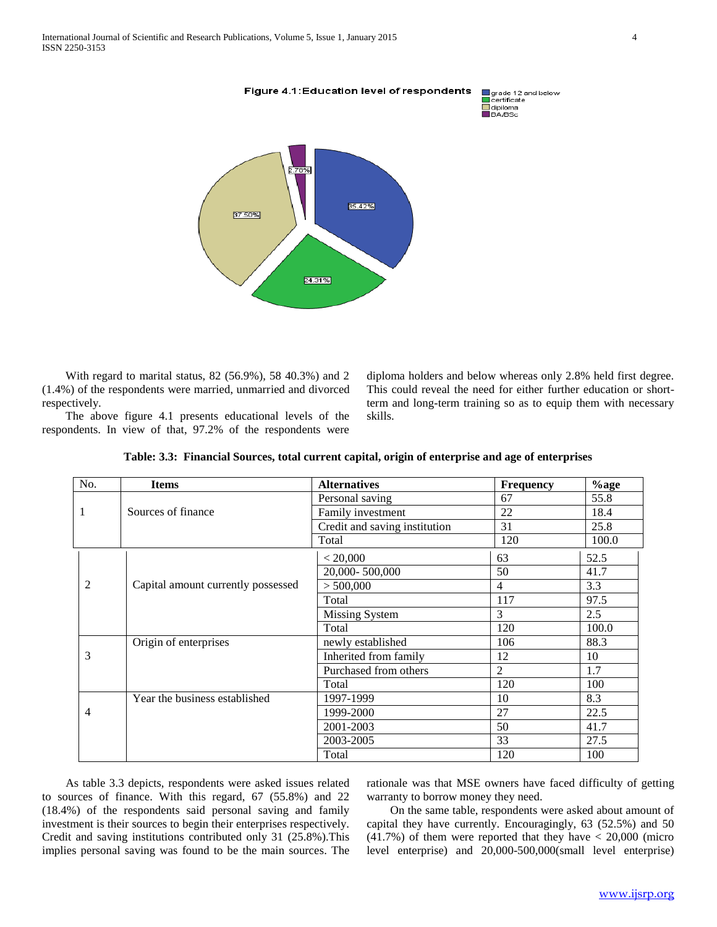

 With regard to marital status, 82 (56.9%), 58 40.3%) and 2 (1.4%) of the respondents were married, unmarried and divorced respectively.

 The above figure 4.1 presents educational levels of the respondents. In view of that, 97.2% of the respondents were diploma holders and below whereas only 2.8% held first degree. This could reveal the need for either further education or shortterm and long-term training so as to equip them with necessary skills.

| No.            | <b>Items</b>                       | <b>Alternatives</b>           | <b>Frequency</b> | $%$ age |
|----------------|------------------------------------|-------------------------------|------------------|---------|
|                |                                    | Personal saving               | 67               | 55.8    |
| $\mathbf{1}$   | Sources of finance                 | Family investment             | 22               | 18.4    |
|                |                                    | Credit and saving institution | 31               | 25.8    |
|                |                                    | Total                         | 120              | 100.0   |
|                |                                    | < 20,000                      | 63               | 52.5    |
|                |                                    | 20,000-500,000                | 50               | 41.7    |
| $\overline{2}$ | Capital amount currently possessed | > 500,000                     | $\overline{4}$   | 3.3     |
|                |                                    | Total                         | 117              | 97.5    |
|                |                                    | <b>Missing System</b>         | 3                | 2.5     |
|                |                                    | Total                         | 120              | 100.0   |
|                | Origin of enterprises              | newly established             | 106              | 88.3    |
| 3              |                                    | Inherited from family         | 12               | 10      |
|                |                                    | Purchased from others         | 2                | 1.7     |
|                |                                    | Total                         | 120              | 100     |
|                | Year the business established      | 1997-1999                     | 10               | 8.3     |
| 4              |                                    | 1999-2000                     | 27               | 22.5    |
|                |                                    | 2001-2003                     | 50               | 41.7    |
|                |                                    | 2003-2005                     | 33               | 27.5    |
|                |                                    | Total                         | 120              | 100     |

| Table: 3.3: Financial Sources, total current capital, origin of enterprise and age of enterprises |  |  |
|---------------------------------------------------------------------------------------------------|--|--|

 As table 3.3 depicts, respondents were asked issues related to sources of finance. With this regard, 67 (55.8%) and 22 (18.4%) of the respondents said personal saving and family investment is their sources to begin their enterprises respectively. Credit and saving institutions contributed only 31 (25.8%).This implies personal saving was found to be the main sources. The rationale was that MSE owners have faced difficulty of getting warranty to borrow money they need.

 On the same table, respondents were asked about amount of capital they have currently. Encouragingly, 63 (52.5%) and 50  $(41.7%)$  of them were reported that they have  $< 20,000$  (micro level enterprise) and 20,000-500,000(small level enterprise)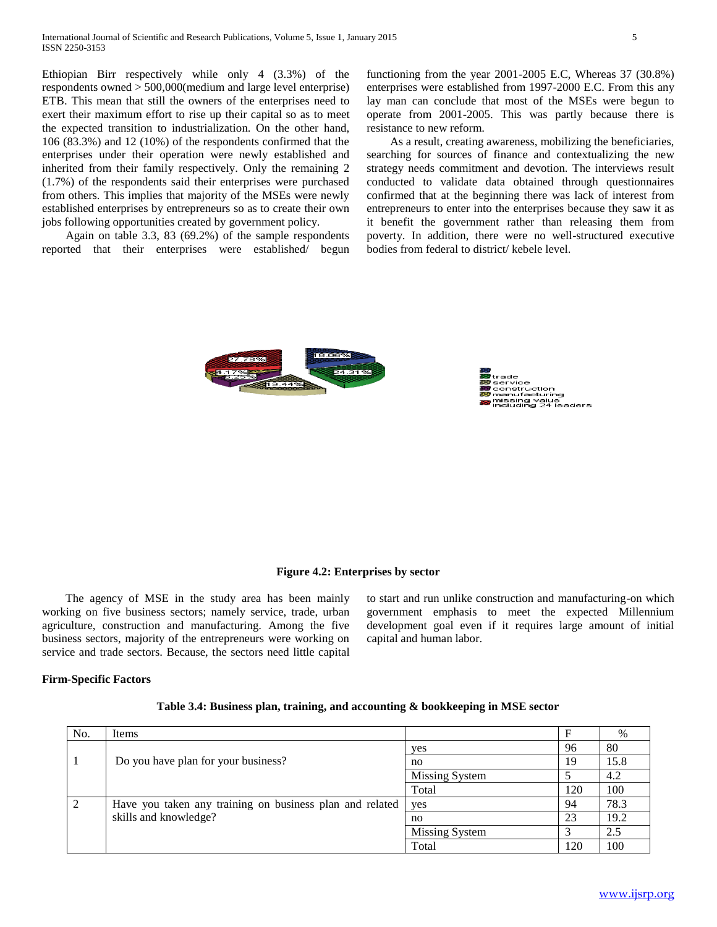Ethiopian Birr respectively while only 4 (3.3%) of the respondents owned > 500,000(medium and large level enterprise) ETB. This mean that still the owners of the enterprises need to exert their maximum effort to rise up their capital so as to meet the expected transition to industrialization. On the other hand, 106 (83.3%) and 12 (10%) of the respondents confirmed that the enterprises under their operation were newly established and inherited from their family respectively. Only the remaining 2 (1.7%) of the respondents said their enterprises were purchased from others. This implies that majority of the MSEs were newly established enterprises by entrepreneurs so as to create their own jobs following opportunities created by government policy.

 Again on table 3.3, 83 (69.2%) of the sample respondents reported that their enterprises were established/ begun functioning from the year 2001-2005 E.C, Whereas 37 (30.8%) enterprises were established from 1997-2000 E.C. From this any lay man can conclude that most of the MSEs were begun to operate from 2001-2005. This was partly because there is resistance to new reform.

 As a result, creating awareness, mobilizing the beneficiaries, searching for sources of finance and contextualizing the new strategy needs commitment and devotion. The interviews result conducted to validate data obtained through questionnaires confirmed that at the beginning there was lack of interest from entrepreneurs to enter into the enterprises because they saw it as it benefit the government rather than releasing them from poverty. In addition, there were no well-structured executive bodies from federal to district/ kebele level.



# **Figure 4.2: Enterprises by sector**

 The agency of MSE in the study area has been mainly working on five business sectors; namely service, trade, urban agriculture, construction and manufacturing. Among the five business sectors, majority of the entrepreneurs were working on service and trade sectors. Because, the sectors need little capital

to start and run unlike construction and manufacturing-on which government emphasis to meet the expected Millennium development goal even if it requires large amount of initial capital and human labor.

#### **Firm-Specific Factors**

| No.            | Items                                                    |                |     | %    |
|----------------|----------------------------------------------------------|----------------|-----|------|
|                |                                                          | yes            | 96  | 80   |
| $\overline{1}$ | Do you have plan for your business?                      | no             | 19  | 15.8 |
|                |                                                          | Missing System |     | 4.2  |
|                |                                                          | Total          | 120 | 100  |
| 2              | Have you taken any training on business plan and related | yes            | 94  | 78.3 |
|                | skills and knowledge?                                    | no             | 23  | 19.2 |
|                |                                                          | Missing System |     | 2.5  |
|                |                                                          | Total          | 120 | 100  |

| Table 3.4: Business plan, training, and accounting & bookkeeping in MSE sector |  |  |  |  |  |
|--------------------------------------------------------------------------------|--|--|--|--|--|
|--------------------------------------------------------------------------------|--|--|--|--|--|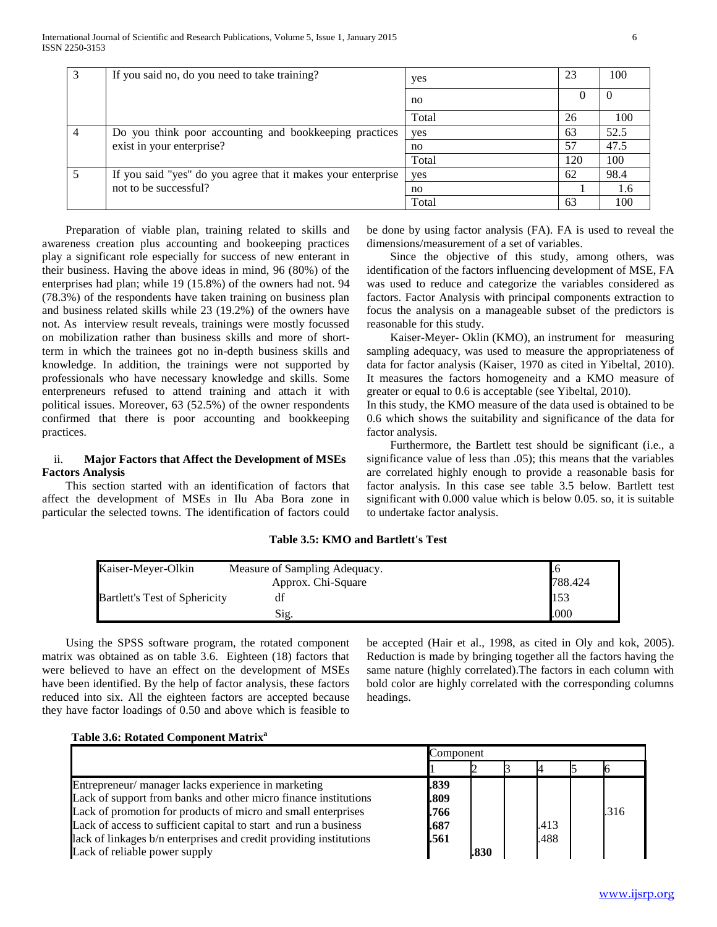| $\mathcal{E}$  | If you said no, do you need to take training?                | yes   | 23           | 100  |
|----------------|--------------------------------------------------------------|-------|--------------|------|
|                |                                                              | no    | $\mathbf{U}$ |      |
|                |                                                              | Total | 26           | 100  |
| $\overline{4}$ | Do you think poor accounting and bookkeeping practices       | yes   | 63           | 52.5 |
|                | exist in your enterprise?                                    | no    | 57           | 47.5 |
|                |                                                              | Total | 120          | 100  |
| -5             | If you said "yes" do you agree that it makes your enterprise | yes   | 62           | 98.4 |
|                | not to be successful?                                        | no    |              | 1.6  |
|                |                                                              | Total | 63           | 100  |

 Preparation of viable plan, training related to skills and awareness creation plus accounting and bookeeping practices play a significant role especially for success of new enterant in their business. Having the above ideas in mind, 96 (80%) of the enterprises had plan; while 19 (15.8%) of the owners had not. 94 (78.3%) of the respondents have taken training on business plan and business related skills while 23 (19.2%) of the owners have not. As interview result reveals, trainings were mostly focussed on mobilization rather than business skills and more of shortterm in which the trainees got no in-depth business skills and knowledge. In addition, the trainings were not supported by professionals who have necessary knowledge and skills. Some enterpreneurs refused to attend training and attach it with political issues. Moreover, 63 (52.5%) of the owner respondents confirmed that there is poor accounting and bookkeeping practices.

# ii. **Major Factors that Affect the Development of MSEs Factors Analysis**

 This section started with an identification of factors that affect the development of MSEs in Ilu Aba Bora zone in particular the selected towns. The identification of factors could

be done by using factor analysis (FA). FA is used to reveal the dimensions/measurement of a set of variables.

 Since the objective of this study, among others, was identification of the factors influencing development of MSE, FA was used to reduce and categorize the variables considered as factors. Factor Analysis with principal components extraction to focus the analysis on a manageable subset of the predictors is reasonable for this study.

 Kaiser-Meyer- Oklin (KMO), an instrument for measuring sampling adequacy, was used to measure the appropriateness of data for factor analysis (Kaiser, 1970 as cited in Yibeltal, 2010). It measures the factors homogeneity and a KMO measure of greater or equal to 0.6 is acceptable (see Yibeltal, 2010).

In this study, the KMO measure of the data used is obtained to be 0.6 which shows the suitability and significance of the data for factor analysis.

 Furthermore, the Bartlett test should be significant (i.e., a significance value of less than .05); this means that the variables are correlated highly enough to provide a reasonable basis for factor analysis. In this case see table 3.5 below. Bartlett test significant with 0.000 value which is below 0.05. so, it is suitable to undertake factor analysis.

| Table 3.5: KMO and Bartlett's Test |  |  |  |
|------------------------------------|--|--|--|
|                                    |  |  |  |

| Kaiser-Meyer-Olkin                   | Measure of Sampling Adequacy. |         |
|--------------------------------------|-------------------------------|---------|
|                                      | Approx. Chi-Square            | 788.424 |
| <b>Bartlett's Test of Sphericity</b> | df                            | 153     |
|                                      | Sig.                          | .000    |

 Using the SPSS software program, the rotated component matrix was obtained as on table 3.6. Eighteen (18) factors that were believed to have an effect on the development of MSEs have been identified. By the help of factor analysis, these factors reduced into six. All the eighteen factors are accepted because they have factor loadings of 0.50 and above which is feasible to be accepted (Hair et al., 1998, as cited in Oly and kok, 2005). Reduction is made by bringing together all the factors having the same nature (highly correlated).The factors in each column with bold color are highly correlated with the corresponding columns headings.

# **Table 3.6: Rotated Component Matrix<sup>a</sup>**

|                                                                    | Component |      |  |      |  |      |
|--------------------------------------------------------------------|-----------|------|--|------|--|------|
|                                                                    |           |      |  |      |  |      |
| Entrepreneur/ manager lacks experience in marketing                | .839      |      |  |      |  |      |
| Lack of support from banks and other micro finance institutions    | .809      |      |  |      |  |      |
| Lack of promotion for products of micro and small enterprises      | .766      |      |  |      |  | .316 |
| Lack of access to sufficient capital to start and run a business   | .687      |      |  | .413 |  |      |
| lack of linkages b/n enterprises and credit providing institutions | .561      |      |  | .488 |  |      |
| Lack of reliable power supply                                      |           | .830 |  |      |  |      |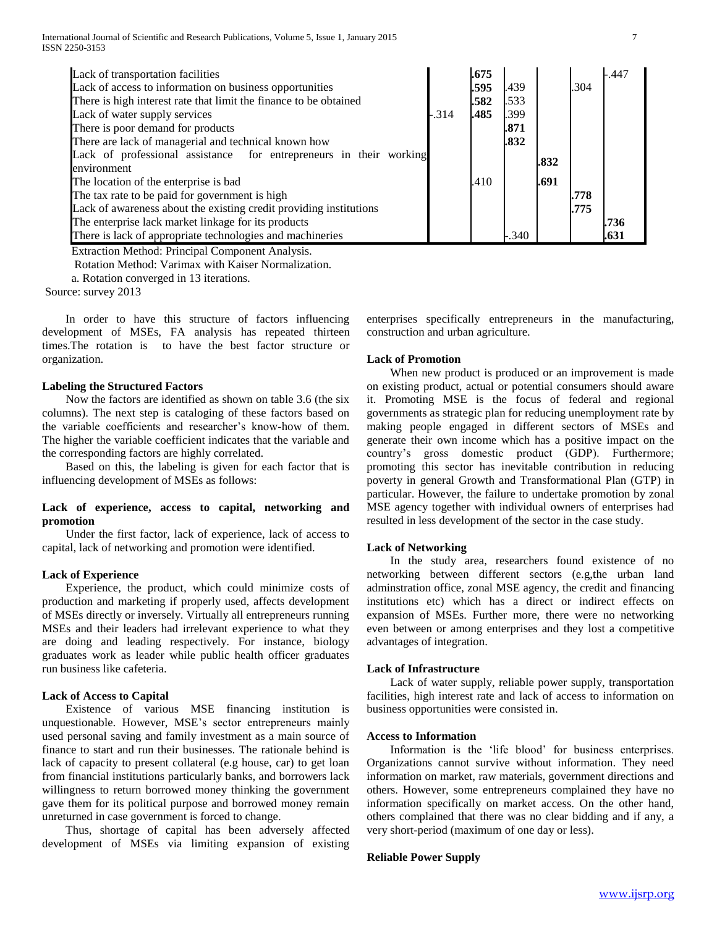International Journal of Scientific and Research Publications, Volume 5, Issue 1, January 2015 7 ISSN 2250-3153

| Lack of transportation facilities                                  |       | .675 |         |      |      | $-.447$ |
|--------------------------------------------------------------------|-------|------|---------|------|------|---------|
| Lack of access to information on business opportunities            |       | .595 | .439    |      | .304 |         |
| There is high interest rate that limit the finance to be obtained  |       | .582 | .533    |      |      |         |
| Lack of water supply services                                      | -.314 | .485 | .399    |      |      |         |
| There is poor demand for products                                  |       |      | .871    |      |      |         |
| There are lack of managerial and technical known how               |       |      | .832    |      |      |         |
| Lack of professional assistance for entrepreneurs in their working |       |      |         | .832 |      |         |
| environment                                                        |       |      |         |      |      |         |
| The location of the enterprise is bad                              |       | .410 |         | .691 |      |         |
| The tax rate to be paid for government is high                     |       |      |         |      | .778 |         |
| Lack of awareness about the existing credit providing institutions |       |      |         |      | .775 |         |
| The enterprise lack market linkage for its products                |       |      |         |      |      | .736    |
| There is lack of appropriate technologies and machineries          |       |      | $-.340$ |      |      | .631    |

Extraction Method: Principal Component Analysis.

Rotation Method: Varimax with Kaiser Normalization.

a. Rotation converged in 13 iterations.

Source: survey 2013

 In order to have this structure of factors influencing development of MSEs, FA analysis has repeated thirteen times.The rotation is to have the best factor structure or organization.

# **Labeling the Structured Factors**

 Now the factors are identified as shown on table 3.6 (the six columns). The next step is cataloging of these factors based on the variable coefficients and researcher's know-how of them. The higher the variable coefficient indicates that the variable and the corresponding factors are highly correlated.

 Based on this, the labeling is given for each factor that is influencing development of MSEs as follows:

# **Lack of experience, access to capital, networking and promotion**

 Under the first factor, lack of experience, lack of access to capital, lack of networking and promotion were identified.

#### **Lack of Experience**

 Experience, the product, which could minimize costs of production and marketing if properly used, affects development of MSEs directly or inversely. Virtually all entrepreneurs running MSEs and their leaders had irrelevant experience to what they are doing and leading respectively. For instance, biology graduates work as leader while public health officer graduates run business like cafeteria.

#### **Lack of Access to Capital**

 Existence of various MSE financing institution is unquestionable. However, MSE's sector entrepreneurs mainly used personal saving and family investment as a main source of finance to start and run their businesses. The rationale behind is lack of capacity to present collateral (e.g house, car) to get loan from financial institutions particularly banks, and borrowers lack willingness to return borrowed money thinking the government gave them for its political purpose and borrowed money remain unreturned in case government is forced to change.

 Thus, shortage of capital has been adversely affected development of MSEs via limiting expansion of existing enterprises specifically entrepreneurs in the manufacturing, construction and urban agriculture.

# **Lack of Promotion**

When new product is produced or an improvement is made on existing product, actual or potential consumers should aware it. Promoting MSE is the focus of federal and regional governments as strategic plan for reducing unemployment rate by making people engaged in different sectors of MSEs and generate their own income which has a positive impact on the country's gross domestic product (GDP). Furthermore; promoting this sector has inevitable contribution in reducing poverty in general Growth and Transformational Plan (GTP) in particular. However, the failure to undertake promotion by zonal MSE agency together with individual owners of enterprises had resulted in less development of the sector in the case study.

#### **Lack of Networking**

 In the study area, researchers found existence of no networking between different sectors (e.g,the urban land adminstration office, zonal MSE agency, the credit and financing institutions etc) which has a direct or indirect effects on expansion of MSEs. Further more, there were no networking even between or among enterprises and they lost a competitive advantages of integration.

#### **Lack of Infrastructure**

 Lack of water supply, reliable power supply, transportation facilities, high interest rate and lack of access to information on business opportunities were consisted in.

#### **Access to Information**

 Information is the 'life blood' for business enterprises. Organizations cannot survive without information. They need information on market, raw materials, government directions and others. However, some entrepreneurs complained they have no information specifically on market access. On the other hand, others complained that there was no clear bidding and if any, a very short-period (maximum of one day or less).

#### **Reliable Power Supply**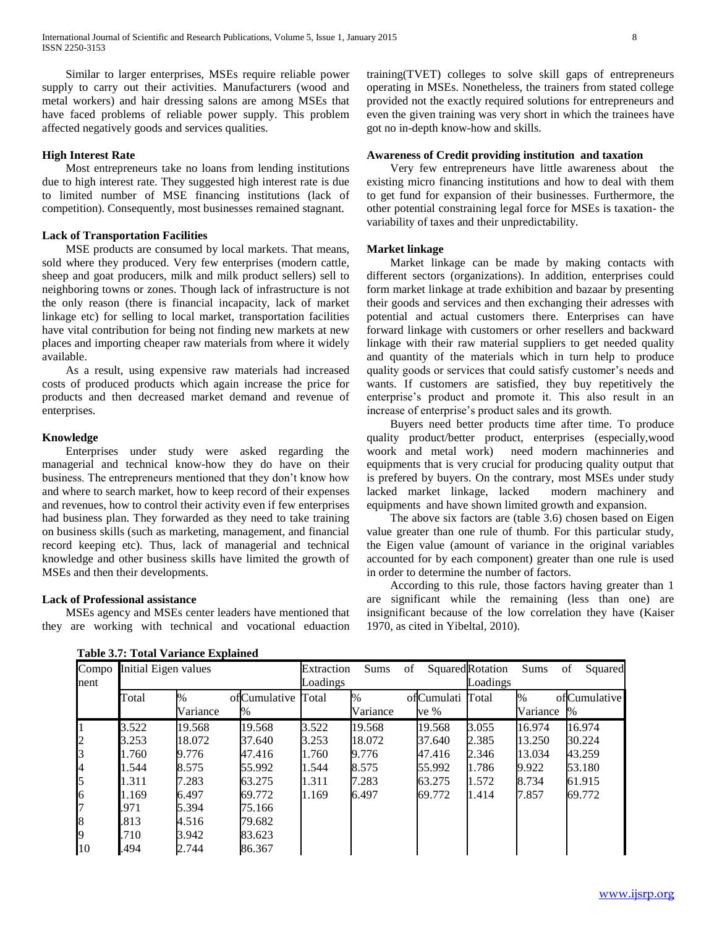Similar to larger enterprises, MSEs require reliable power supply to carry out their activities. Manufacturers (wood and metal workers) and hair dressing salons are among MSEs that have faced problems of reliable power supply. This problem affected negatively goods and services qualities.

#### **High Interest Rate**

 Most entrepreneurs take no loans from lending institutions due to high interest rate. They suggested high interest rate is due to limited number of MSE financing institutions (lack of competition). Consequently, most businesses remained stagnant.

#### **Lack of Transportation Facilities**

 MSE products are consumed by local markets. That means, sold where they produced. Very few enterprises (modern cattle, sheep and goat producers, milk and milk product sellers) sell to neighboring towns or zones. Though lack of infrastructure is not the only reason (there is financial incapacity, lack of market linkage etc) for selling to local market, transportation facilities have vital contribution for being not finding new markets at new places and importing cheaper raw materials from where it widely available.

 As a result, using expensive raw materials had increased costs of produced products which again increase the price for products and then decreased market demand and revenue of enterprises.

#### **Knowledge**

 Enterprises under study were asked regarding the managerial and technical know-how they do have on their business. The entrepreneurs mentioned that they don't know how and where to search market, how to keep record of their expenses and revenues, how to control their activity even if few enterprises had business plan. They forwarded as they need to take training on business skills (such as marketing, management, and financial record keeping etc). Thus, lack of managerial and technical knowledge and other business skills have limited the growth of MSEs and then their developments.

# **Lack of Professional assistance**

 MSEs agency and MSEs center leaders have mentioned that they are working with technical and vocational eduaction training(TVET) colleges to solve skill gaps of entrepreneurs operating in MSEs. Nonetheless, the trainers from stated college provided not the exactly required solutions for entrepreneurs and even the given training was very short in which the trainees have got no in-depth know-how and skills.

# **Awareness of Credit providing institution and taxation**

 Very few entrepreneurs have little awareness about the existing micro financing institutions and how to deal with them to get fund for expansion of their businesses. Furthermore, the other potential constraining legal force for MSEs is taxation- the variability of taxes and their unpredictability.

#### **Market linkage**

 Market linkage can be made by making contacts with different sectors (organizations). In addition, enterprises could form market linkage at trade exhibition and bazaar by presenting their goods and services and then exchanging their adresses with potential and actual customers there. Enterprises can have forward linkage with customers or orher resellers and backward linkage with their raw material suppliers to get needed quality and quantity of the materials which in turn help to produce quality goods or services that could satisfy customer's needs and wants. If customers are satisfied, they buy repetitively the enterprise's product and promote it. This also result in an increase of enterprise's product sales and its growth.

 Buyers need better products time after time. To produce quality product/better product, enterprises (especially,wood woork and metal work) need modern machinneries and equipments that is very crucial for producing quality output that is prefered by buyers. On the contrary, most MSEs under study lacked market linkage, lacked modern machinery and equipments and have shown limited growth and expansion.

 The above six factors are (table 3.6) chosen based on Eigen value greater than one rule of thumb. For this particular study, the Eigen value (amount of variance in the original variables accounted for by each component) greater than one rule is used in order to determine the number of factors.

 According to this rule, those factors having greater than 1 are significant while the remaining (less than one) are insignificant because of the low correlation they have (Kaiser 1970, as cited in Yibeltal, 2010).

| nent           | Compo Initial Eigen values |                  |                         | of<br><b>Sums</b><br>Extraction<br>Loadings |                  |                          | Squared Rotation<br>Loadings | Sums             | Squared<br>of        |
|----------------|----------------------------|------------------|-------------------------|---------------------------------------------|------------------|--------------------------|------------------------------|------------------|----------------------|
|                | Total                      | $\%$<br>Variance | ofCumulative Total<br>% |                                             | $\%$<br>Variance | ofCumulati Total<br>ve % |                              | $\%$<br>Variance | ofCumulative<br>$\%$ |
|                | 3.522                      | 19.568           | 19.568                  | 3.522                                       | 19.568           | 19.568                   | 3.055                        | 16.974           | 16.974               |
| $\overline{c}$ | 3.253                      | 18.072           | 37.640                  | 3.253                                       | 18.072           | 37.640                   | 2.385                        | 13.250           | 30.224               |
| 3              | 1.760                      | 9.776            | 47.416                  | 1.760                                       | 9.776            | 47.416                   | 2.346                        | 13.034           | 43.259               |
| 4              | 1.544                      | 8.575            | 55.992                  | 1.544                                       | 8.575            | 55.992                   | 1.786                        | 9.922            | 53.180               |
| 5              | 1.311                      | 7.283            | 63.275                  | 1.311                                       | 7.283            | 63.275                   | 1.572                        | 8.734            | 61.915               |
| 6              | 1.169                      | 6.497            | 69.772                  | 1.169                                       | 6.497            | 69.772                   | 1.414                        | 7.857            | 69.772               |
| 7              | .971                       | 5.394            | 75.166                  |                                             |                  |                          |                              |                  |                      |
| 8              | .813                       | 4.516            | 79.682                  |                                             |                  |                          |                              |                  |                      |
| 9              | .710                       | 3.942            | 83.623                  |                                             |                  |                          |                              |                  |                      |
| 10             | .494                       | 2.744            | 86.367                  |                                             |                  |                          |                              |                  |                      |

# **Table 3.7: Total Variance Explained**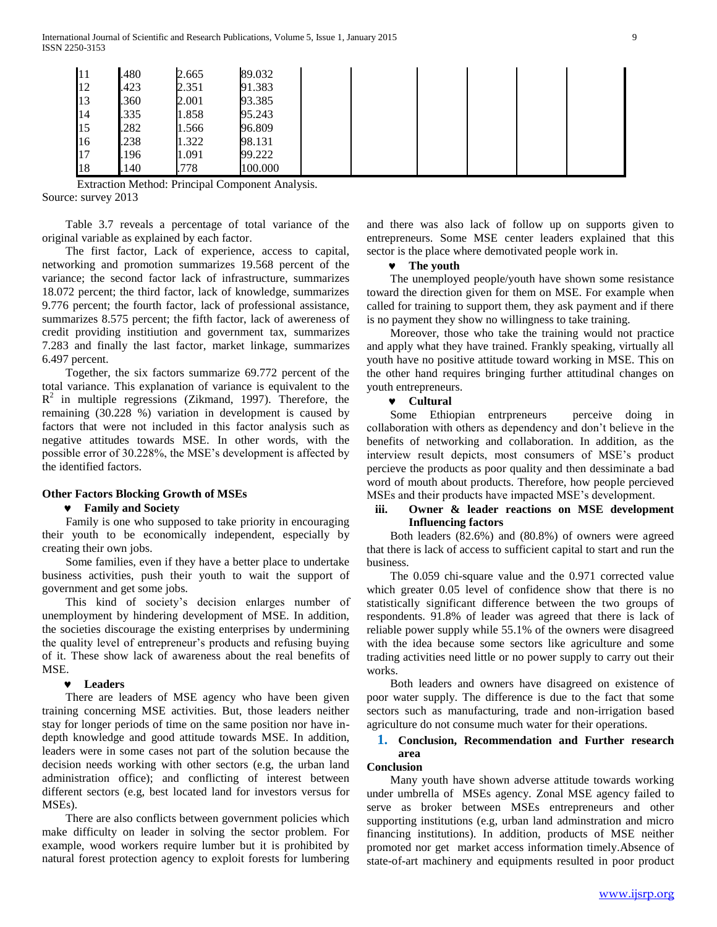| $\vert$ 11 | .480 | 2.665 | 89.032  |  |  |  |
|------------|------|-------|---------|--|--|--|
| 12         | .423 | 2.351 | 91.383  |  |  |  |
| 13         | .360 | 2.001 | 93.385  |  |  |  |
| 14         | .335 | 1.858 | 95.243  |  |  |  |
| $\vert$ 15 | .282 | 1.566 | 96.809  |  |  |  |
| 16         | .238 | 1.322 | 98.131  |  |  |  |
| 17         | .196 | 1.091 | 99.222  |  |  |  |
| 18         | .140 | .778  | 100.000 |  |  |  |

Extraction Method: Principal Component Analysis. Source: survey 2013

 Table 3.7 reveals a percentage of total variance of the original variable as explained by each factor.

 The first factor, Lack of experience, access to capital, networking and promotion summarizes 19.568 percent of the variance; the second factor lack of infrastructure, summarizes 18.072 percent; the third factor, lack of knowledge, summarizes 9.776 percent; the fourth factor, lack of professional assistance, summarizes 8.575 percent; the fifth factor, lack of awereness of credit providing institiution and government tax, summarizes 7.283 and finally the last factor, market linkage, summarizes 6.497 percent.

 Together, the six factors summarize 69.772 percent of the total variance. This explanation of variance is equivalent to the  $R^2$  in multiple regressions (Zikmand, 1997). Therefore, the remaining (30.228 %) variation in development is caused by factors that were not included in this factor analysis such as negative attitudes towards MSE. In other words, with the possible error of 30.228%, the MSE's development is affected by the identified factors.

#### **Other Factors Blocking Growth of MSEs**

#### **Family and Society**

 Family is one who supposed to take priority in encouraging their youth to be economically independent, especially by creating their own jobs.

 Some families, even if they have a better place to undertake business activities, push their youth to wait the support of government and get some jobs.

 This kind of society's decision enlarges number of unemployment by hindering development of MSE. In addition, the societies discourage the existing enterprises by undermining the quality level of entrepreneur's products and refusing buying of it. These show lack of awareness about the real benefits of MSE.

#### **Leaders**

 There are leaders of MSE agency who have been given training concerning MSE activities. But, those leaders neither stay for longer periods of time on the same position nor have indepth knowledge and good attitude towards MSE. In addition, leaders were in some cases not part of the solution because the decision needs working with other sectors (e.g, the urban land administration office); and conflicting of interest between different sectors (e.g, best located land for investors versus for MSEs).

 There are also conflicts between government policies which make difficulty on leader in solving the sector problem. For example, wood workers require lumber but it is prohibited by natural forest protection agency to exploit forests for lumbering and there was also lack of follow up on supports given to entrepreneurs. Some MSE center leaders explained that this sector is the place where demotivated people work in.

#### **The youth**

 The unemployed people/youth have shown some resistance toward the direction given for them on MSE. For example when called for training to support them, they ask payment and if there is no payment they show no willingness to take training.

 Moreover, those who take the training would not practice and apply what they have trained. Frankly speaking, virtually all youth have no positive attitude toward working in MSE. This on the other hand requires bringing further attitudinal changes on youth entrepreneurs.

#### **Cultural**

 Some Ethiopian entrpreneurs perceive doing in collaboration with others as dependency and don't believe in the benefits of networking and collaboration. In addition, as the interview result depicts, most consumers of MSE's product percieve the products as poor quality and then dessiminate a bad word of mouth about products. Therefore, how people percieved MSEs and their products have impacted MSE's development.

# **iii. Owner & leader reactions on MSE development Influencing factors**

 Both leaders (82.6%) and (80.8%) of owners were agreed that there is lack of access to sufficient capital to start and run the business.

 The 0.059 chi-square value and the 0.971 corrected value which greater 0.05 level of confidence show that there is no statistically significant difference between the two groups of respondents. 91.8% of leader was agreed that there is lack of reliable power supply while 55.1% of the owners were disagreed with the idea because some sectors like agriculture and some trading activities need little or no power supply to carry out their works.

 Both leaders and owners have disagreed on existence of poor water supply. The difference is due to the fact that some sectors such as manufacturing, trade and non-irrigation based agriculture do not consume much water for their operations.

# **1. Conclusion, Recommendation and Further research area**

#### **Conclusion**

 Many youth have shown adverse attitude towards working under umbrella of MSEs agency. Zonal MSE agency failed to serve as broker between MSEs entrepreneurs and other supporting institutions (e.g, urban land adminstration and micro financing institutions). In addition, products of MSE neither promoted nor get market access information timely.Absence of state-of-art machinery and equipments resulted in poor product